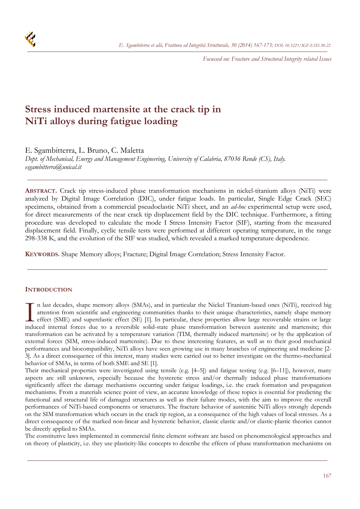*Focussed on: Fracture and Structural Integrity related Issues* 

# **Stress induced martensite at the crack tip in NiTi alloys during fatigue loading**

E. Sgambitterra, L. Bruno, C. Maletta

*Dept. of Mechanical, Energy and Management Engineering, University of Calabria, 87036 Rende (CS), Italy. esgambitterra@unical.it* 

**ABSTRACT.** Crack tip stress-induced phase transformation mechanisms in nickel-titanium alloys (NiTi) were analyzed by Digital Image Correlation (DIC), under fatigue loads. In particular, Single Edge Crack (SEC) specimens, obtained from a commercial pseudoelastic NiTi sheet, and an *ad-hoc* experimental setup were used, for direct measurements of the near crack tip displacement field by the DIC technique. Furthermore, a fitting procedure was developed to calculate the mode I Stress Intensity Factor (SIF), starting from the measured displacement field. Finally, cyclic tensile tests were performed at different operating temperature, in the range 298-338 K, and the evolution of the SIF was studied, which revealed a marked temperature dependence.

**KEYWORDS.** Shape Memory alloys; Fracture; Digital Image Correlation; Stress Intensity Factor.

## **INTRODUCTION**

n last decades, shape memory alloys (SMAs), and in particular the Nickel Titanium-based ones (NiTi), received big attention from scientific and engineering communities thanks to their unique characteristics, namely shape memory effect (SME) and superelastic effect (SE) [1]. In particular, these properties allow large recoverable strains or large In last decades, shape memory alloys (SMAs), and in particular the Nickel Titanium-based ones (NiTi), received big<br>attention from scientific and engineering communities thanks to their unique characteristics, namely shape transformation can be activated by a temperature variation (TIM, thermally induced martensite) or by the application of external forces (SIM, stress-induced martensite). Due to these interesting features, as well as to their good mechanical performances and biocompatibility, NiTi alloys have seen growing use in many branches of engineering and medicine [2- 3]. As a direct consequence of this interest, many studies were carried out to better investigate on the thermo-mechanical behavior of SMAs, in terms of both SME and SE [1].

Their mechanical properties were investigated using tensile (e.g. [4–5]) and fatigue testing (e.g. [6–11]), however, many aspects are still unknown, especially because the hysteretic stress and/or thermally induced phase transformations significantly affect the damage mechanisms occurring under fatigue loadings, i.e. the crack formation and propagation mechanisms. From a materials science point of view, an accurate knowledge of these topics is essential for predicting the functional and structural life of damaged structures as well as their failure modes, with the aim to improve the overall performances of NiTi-based components or structures. The fracture behavior of austenitic NiTi alloys strongly depends on the SIM transformation which occurs in the crack tip region, as a consequence of the high values of local stresses. As a direct consequence of the marked non-linear and hysteretic behavior, classic elastic and/or elastic-plastic theories cannot be directly applied to SMAs.

The constitutive laws implemented in commercial finite element software are based on phenomenological approaches and on theory of plasticity, i.e. they use plasticity-like concepts to describe the effects of phase transformation mechanisms on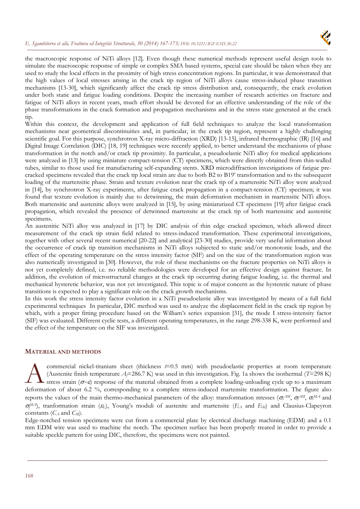#### *E. Sgambiterra et alii, Frattura ed Integrità Strutturale, 30 (2014) 167-173; DOI: 10.3221/IGF-ESIS.30.22*



the macroscopic response of NiTi alloys [12]. Even though these numerical methods represent useful design tools to simulate the macroscopic response of simple or complex SMA based systems, special care should be taken when they are used to study the local effects in the proximity of high stress concentration regions. In particular, it was demonstrated that the high values of local stresses arising in the crack tip region of NiTi alloys cause stress-induced phase transition mechanisms [13-30], which significantly affect the crack tip stress distribution and, consequently, the crack evolution under both static and fatigue loading conditions. Despite the increasing number of research activities on fracture and fatigue of NiTi alloys in recent years, much effort should be devoted for an effective understanding of the role of the phase transformations in the crack formation and propagation mechanisms and in the stress state generated at the crack tip.

Within this context, the development and application of full field techniques to analyze the local transformation mechanisms near geometrical discontinuities and, in particular, in the crack tip region, represent a highly challenging scientific goal. For this purpose, synchrotron X-ray micro-diffraction (XRD) [13-15], infrared thermographic (IR) [16] and Digital Image Correlation (DIC) [18, 19] techniques were recently applied, to better understand the mechanisms of phase transformation in the notch and/or crack tip proximity. In particular, a pseudoelastic NiTi alloy for medical applications were analyzed in [13] by using miniature compact-tension (CT) specimens, which were directly obtained from thin-walled tubes, similar to those used for manufacturing self-expanding stents. XRD microdiffraction investigations of fatigue precracked specimens revealed that the crack tip local strain are due to both B2 to B19' transformation and to the subsequent loading of the martensitic phase. Strain and texture evolution near the crack tip of a martensitic NiTi alloy were analyzed in [14], by synchrotron X-ray experiments, after fatigue crack propagation in a compact-tension (CT) specimen; it was found that texture evolution is mainly due to detwinning, the main deformation mechanism in martensitic NiTi alloys. Both martensitic and austenitic alloys were analyzed in [15], by using miniaturized CT specimens [19] after fatigue crack propagation, which revealed the presence of detwinned martensite at the crack tip of both martensitic and austenitic specimens.

An austenitic NiTi alloy was analyzed in [17] by DIC analysis of thin edge cracked specimen, which allowed direct measurement of the crack tip strain field related to stress-induced transformation. These experimental investigations, together with other several recent numerical [20-22] and analytical [23-30] studies, provide very useful information about the occurrence of crack tip transition mechanisms in NiTi alloys subjected to static and/or monotonic loads, and the effect of the operating temperature on the stress intensity factor (SIF) and on the size of the transformation region was also numerically investigated in [30]. However, the role of these mechanisms on the fracture properties on NiTi alloys is not yet completely defined, i.e. no reliable methodologies were developed for an effective design against fracture. In addition, the evolution of microstructural changes at the crack tip occurring during fatigue loading, i.e. the thermal and mechanical hysteretic behavior, was not yet investigated. This topic is of major concern as the hysteretic nature of phase transitions is expected to play a significant role on the crack growth mechanisms.

In this work the stress intensity factor evolution in a NiTi pseudoelastic alloy was investigated by means of a full field experimental techniques In particular, DIC method was used to analyze the displacement field in the crack tip region by which, with a proper fitting procedure based on the William's series expansion [31], the mode I stress-intensity factor (SIF) was evaluated. Different cyclic tests, a different operating temperatures, in the range 298-338 K, were performed and the effect of the temperature on the SIF was investigated.

## **MATERIAL AND METHODS**

commercial nickel-titanium sheet (thickness *t*=0.5 mm) with pseudoelastic properties at room temperature (Austenite finish temperature *Af*=286.7 K) was used in this investigation. Fig. 1a shows the isothermal (*T*=298 K) stress strain ( $\sigma$ - $\varepsilon$ ) response of the material obtained from a complete loading-unloading cycle up to a maximum **deformation** of about 6.2 %, corresponding to a complete stress-induced martensite transformation. The figure also a complete loading-unloading cycle up to a maximum deformation of about 6.2 %, corresponding to a complet reports the values of the main thermo-mechanical parameters of the alloy: transformation stresses ( $\sigma_f^{AM}$ ,  $\sigma_f^{MA}$ , and  $\sigma_f^{MA}$ ), tranformation strain ( $\varepsilon_L$ ), Young's moduli of austenite and martensite ( $E_A$  and  $E_M$ ) and Clausius-Clapeyron constants  $(C_A \text{ and } C_M)$ .

Edge-notched tension specimens were cut from a commercial plate by electrical discharge machining (EDM) and a 0.1 mm EDM wire was used to machine the notch. The specimen surface has been properly treated in order to provide a suitable speckle pattern for using DIC, therefore, the specimens were not painted.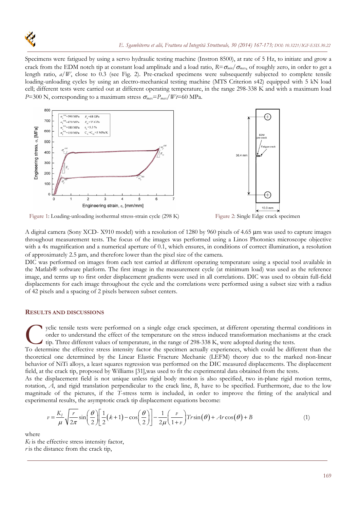

Specimens were fatigued by using a servo hydraulic testing machine (Instron 8500), at rate of 5 Hz, to initiate and grow a crack from the EDM notch tip at constant load amplitude and a load ratio,  $R = \sigma_{min}/\sigma_{max}$ , of roughly zero, in order to get a length ratio,  $a/W$ , close to 0.3 (see Fig. 2). Pre-cracked specimens were subsequently subjected to complete tensile loading-unloading cycles by using an electro-mechanical testing machine (MTS Criterion s42) equipped with 5 kN load cell; different tests were carried out at different operating temperature, in the range 298-338 K and with a maximum load *P*=300 N, corresponding to a maximum stress  $\sigma_{max} = P_{max}/Wt = 60$  MPa.



Figure 1: Loading-unloading isothermal stress-strain cycle (298 K) Figure 2: Single Edge crack specimen

A digital camera (Sony XCD-X910 model) with a resolution of 1280 by 960 pixels of 4.65 µm was used to capture images throughout measurement tests. The focus of the images was performed using a Linos Photonics microscope objective with a 4x magnification and a numerical aperture of 0.1, which ensures, in conditions of correct illumination, a resolution of approximately  $2.5 \mu m$ , and therefore lower than the pixel size of the camera.

DIC was performed on images from each test carried at different operating temperature using a special tool available in the Matlab® software platform. The first image in the measurement cycle (at minimum load) was used as the reference image, and terms up to first order displacement gradients were used in all correlations. DIC was used to obtain full-field displacements for each image throughout the cycle and the correlations were performed using a subset size with a radius of 42 pixels and a spacing of 2 pixels between subset centers.

#### **RESULTS AND DISCUSSIONS**

yclic tensile tests were performed on a single edge crack specimen, at different operating thermal conditions in order to understand the effect of the temperature on the stress induced transformation mechanisms at the crack tip. Three different values of temperature, in the range of 298-338 K, were adopted during the tests. To determine the effective stress intensity factor the specimen actually experiences, which could be different than the CHAC To determine the effective stress intensity factor the specimen actually experiences, which could

theoretical one determined by the Linear Elastic Fracture Mechanic (LEFM) theory due to the marked non-linear behavior of NiTi alloys, a least squares regression was performed on the DIC measured displacements. The displacement field, at the crack tip, proposed by Williams [31],was used to fit the experimental data obtained from the tests.

As the displacement field is not unique unless rigid body motion is also specified, two in-plane rigid motion terms, rotation, *A*, and rigid translation perpendicular to the crack line, *B*, have to be specified. Furthermore, due to the low magnitude of the pictures, if the *T*-stress term is included, in order to improve the fitting of the analytical and experimental results, the asymptotic crack tip displacement equations become:

$$
v = \frac{K_I}{\mu} \sqrt{\frac{r}{2\pi}} \sin\left(\frac{\theta}{2}\right) \left[\frac{1}{2}(k+1) - \cos\left(\frac{\theta}{2}\right)\right] - \frac{1}{2\mu} \left(\frac{v}{1+v}\right) Tr \sin(\theta) + Ar \cos(\theta) + B
$$
 (1)

where

 $K_I$  is the effective stress intensity factor, *r* is the distance from the crack tip,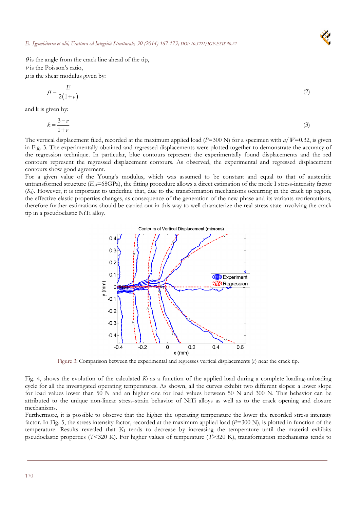

 $\theta$  is the angle from the crack line ahead of the tip,  $\nu$  is the Poisson's ratio,  $\mu$  is the shear modulus given by:

$$
\mu = \frac{E}{2(1+v)}\tag{2}
$$

and k is given by:

$$
k = \frac{3 - v}{1 + v} \tag{3}
$$

The vertical displacement filed, recorded at the maximum applied load  $(P=300 \text{ N})$  for a specimen with  $a/W=0.32$ , is given in Fig. 3. The experimentally obtained and regressed displacements were plotted together to demonstrate the accuracy of the regression technique. In particular, blue contours represent the experimentally found displacements and the red contours represent the regressed displacement contours. As observed, the experimental and regressed displacement contours show good agreement.

For a given value of the Young's modulus, which was assumed to be constant and equal to that of austenitic untransformed structure  $(E_A = 68GPa)$ , the fitting procedure allows a direct estimation of the mode I stress-intensity factor (*KI*). However, it is important to underline that, due to the transformation mechanisms occurring in the crack tip region, the effective elastic properties changes, as consequence of the generation of the new phase and its variants reorientations, therefore further estimations should be carried out in this way to well characterize the real stress state involving the crack tip in a pseudoelastic NiTi alloy.



Figure 3: Comparison between the experimental and regresses vertical displacements (*v*) near the crack tip.

Fig. 4, shows the evolution of the calculated *KI* as a function of the applied load during a complete loading-unloading cycle for all the investigated operating temperatures. As shown, all the curves exhibit two different slopes: a lower slope for load values lower than 50 N and an higher one for load values between 50 N and 300 N. This behavior can be attributed to the unique non-linear stress-strain behavior of NiTi alloys as well as to the crack opening and closure mechanisms.

Furthermore, it is possible to observe that the higher the operating temperature the lower the recorded stress intensity factor. In Fig. 5, the stress intensity factor, recorded at the maximum applied load (*P*=300 N), is plotted in function of the temperature. Results revealed that  $K_I$  tends to decrease by increasing the temperature until the material exhibits pseudoelastic properties (*T*<320 K). For higher values of temperature (*T*>320 K), transformation mechanisms tends to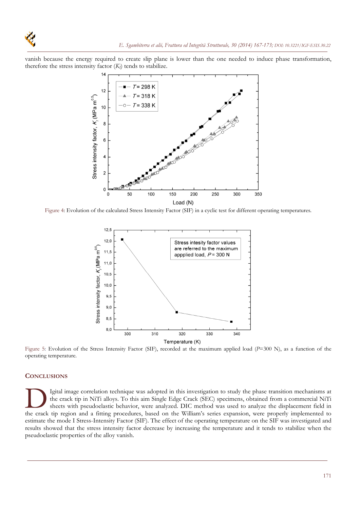vanish because the energy required to create slip plane is lower than the one needed to induce phase transformation, therefore the stress intensity factor  $(K_I)$  tends to stabilize.



Figure 4: Evolution of the calculated Stress Intensity Factor (SIF) in a cyclic test for different operating temperatures.



Figure 5: Evolution of the Stress Intensity Factor (SIF), recorded at the maximum applied load (*P*=300 N), as a function of the operating temperature.

#### **CONCLUSIONS**

Igital image correlation technique was adopted in this investigation to study the phase transition mechanisms at the crack tip in NiTi alloys. To this aim Single Edge Crack (SEC) specimens, obtained from a commercial NiTi sheets with pseudoelastic behavior, were analyzed. DIC method was used to analyze the displacement field in Igital image correlation technique was adopted in this investigation to study the phase transition mechanisms at the crack tip in NiTi alloys. To this aim Single Edge Crack (SEC) specimens, obtained from a commercial NiTi estimate the mode I Stress-Intensity Factor (SIF). The effect of the operating temperature on the SIF was investigated and results showed that the stress intensity factor decrease by increasing the temperature and it tends to stabilize when the pseudoelastic properties of the alloy vanish.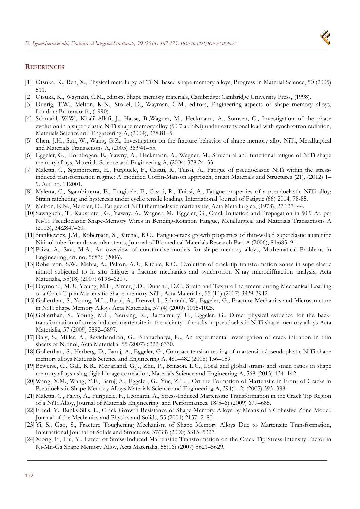

## **REFERENCES**

- [1] Otsuka, K., Ren, X., Physical metallurgy of Ti-Ni based shape memory alloys, Progress in Material Science, 50 (2005) 511.
- [2] Otsuka, K., Wayman, C.M., editors. Shape memory materials, Cambridge: Cambridge University Press, (1998).
- [3] Duerig, T.W., Melton, K.N., Stokel, D., Wayman, C.M., editors, Engineering aspects of shape memory alloys, London: Butterworth, (1990).
- [4] Schmahl, W.W., Khalil-Allafi, J., Hasse, B.,Wagner, M., Heckmann, A., Somsen, C., Investigation of the phase evolution in a super-elastic NiTi shape memory alloy (50.7 at.%Ni) under extensional load with synchrotron radiation, Materials Science and Engineering A, (2004), 378:81–5.
- [5] Chen, J.H., Sun, W., Wang, G.Z., Investigation on the fracture behavior of shape memory alloy NiTi, Metallurgical and Materials Transactions A, (2005) 36:941–55.
- [6] Eggeler, G., Hornbogen, E., Yawny, A., Heckmann, A., Wagner, M., Structural and functional fatigue of NiTi shape memory alloys, Materials Science and Engineering A, (2004) 378:24–33.
- [7] Maletta, C., Sgambitterra, E., Furgiuele, F., Casati, R., Tuissi, A., Fatigue of pseudoelastic NiTi within the stressinduced transformation regime: A modified Coffin-Manson approach, Smart Materials and Structures (21), (2012) 1– 9. Art. no. 112001.
- [8] Maletta, C., Sgambitterra, E., Furgiuele, F., Casati, R., Tuissi, A., Fatigue properties of a pseudoelastic NiTi alloy: Strain ratcheting and hysteresis under cyclic tensile loading, International Journal of Fatigue (66) 2014, 78-85.
- [9] Melton, K.N., Mercier, O., Fatigue of NiTi thermoelastic martensites, Acta Metallurgica, (1978), 27:137–44.
- [10] Sawaguchi, T., Kaustrater, G., Yawny, A., Wagner, M., Eggeler, G., Crack Initiation and Propagation in 50.9 At. pct Ni-Ti Pseudoelastic Shape-Memory Wires in Bending-Rotation Fatigue, Metallurgical and Materials Transactions A (2003), 34:2847–60.
- [11] Stankiewicz, J.M., Robertson, S., Ritchie, R.O., Fatigue-crack growth properties of thin-walled superelastic austenitic Nitinol tube for endovascular stents, Journal of Biomedical Materials Research Part A (2006), 81:685–91.
- [12] Paiva, A., Savi, M.A., An overview of constitutive models for shape memory alloys, Mathematical Problems in Engineering, art. no. 56876 (2006).
- [13] Robertson, S.W., Mehta, A., Pelton, A.R., Ritchie, R.O., Evolution of crack-tip transformation zones in superelastic nitinol subjected to in situ fatigue: a fracture mechanics and synchrotron X-ray microdiffraction analysis, Acta Materialia, 55(18) (2007) 6198–6207.
- [14] Daymond, M.R., Young, M.L., Almer, J.D., Dunand, D.C., Strain and Texture Increment during Mechanical Loading of a Crack Tip in Martensitic Shape-memory NiTi, Acta Materialia, 55 (11) (2007) 3929-3942.
- [15] Gollerthan, S., Young, M.L., Baruj, A., Frenzel, J., Schmahl, W., Eggeler, G., Fracture Mechanics and Microstructure in NiTi Shape Memory Alloys Acta Materialia, 57 (4) (2009) 1015-1025.
- [16] Gollerthan, S., Young, M.L., Neuking, K., Ramamurty, U., Eggeler, G., Direct physical evidence for the backtransformation of stress-induced martensite in the vicinity of cracks in pseudoelastic NiTi shape memory alloys Acta Materialia, 57 (2009) 5892–5897.
- [17] Daly, S., Miller, A., Ravichandran, G., Bhattacharya, K., An experimental investigation of crack initiation in thin sheets of Nitinol, Acta Materialia, 55 (2007) 6322-6330.
- [18] Gollerthan, S., Herberg, D., Baruj, A., Eggeler, G., Compact tension testing of martensitic/pseudoplastic NiTi shape memory alloys Materials Science and Engineering A, 481–482 (2008) 156–159.
- [19] Bewerse, C., Gall, K.R., McFarland, G.J., Zhu, P., Brinson, L.C., Local and global strains and strain ratios in shape memory alloys using digital image correlation, Materials Science and Engineering A, 568 (2013) 134–142.
- [20] Wang, X.M., Wang, Y.F., Baruj, A., Eggeler, G., Yue, Z.F., , On the Formation of Martensite in Front of Cracks in Pseudoelastic Shape Memory Alloys Materials Science and Engineering A, 394(1–2) (2005) 393–398.
- [21] Maletta, C., Falvo, A., Furgiuele, F., Leonardi, A., Stress-Induced Martensitic Transformation in the Crack Tip Region of a NiTi Alloy, Journal of Materials Engineering and Performances, 18(5–6) (2009) 679–685.
- [22] Freed, Y., Banks-Sills, L., Crack Growth Resistance of Shape Memory Alloys by Means of a Cohesive Zone Model, Journal of the Mechanics and Physics and Solids, 55 (2001) 2157–2180.
- [23]Yi, S., Gao, S., Fracture Toughening Mechanism of Shape Memory Alloys Due to Martensite Transformation, International Journal of Solids and Structures, 37(38) (2000) 5315–5327.
- [24]Xiong, F., Liu, Y., Effect of Stress-Induced Martensitic Transformation on the Crack Tip Stress-Intensity Factor in Ni-Mn-Ga Shape Memory Alloy, Acta Materialia, 55(16) (2007) 5621–5629.